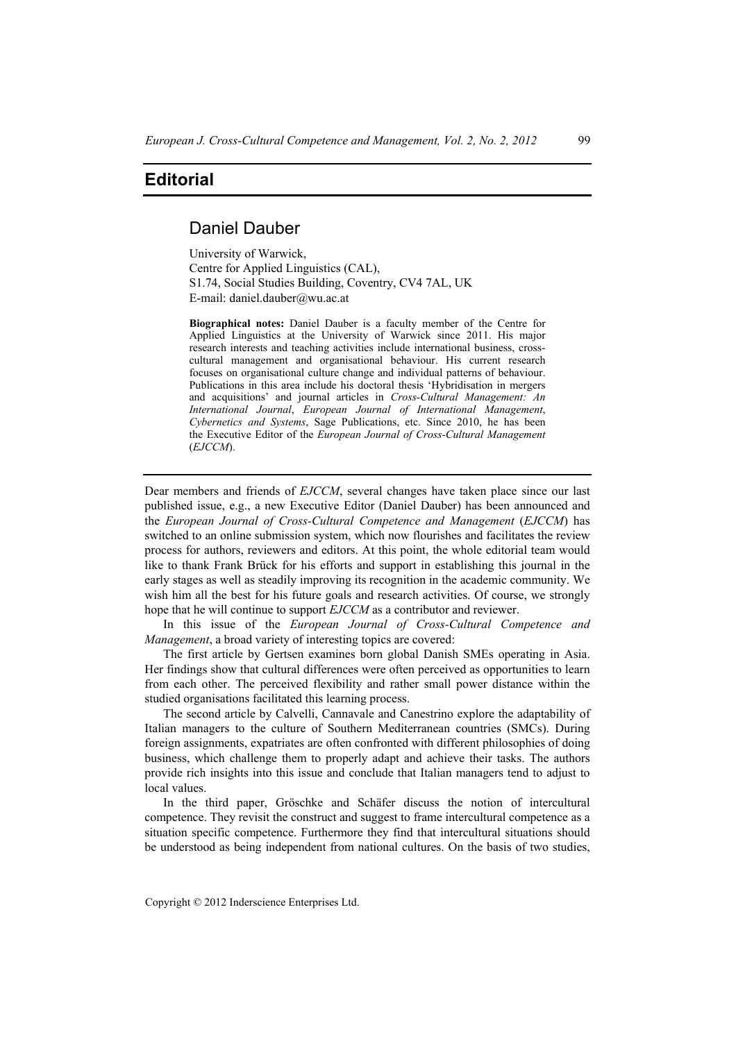## **Editorial**

## Daniel Dauber

University of Warwick, Centre for Applied Linguistics (CAL), S1.74, Social Studies Building, Coventry, CV4 7AL, UK E-mail: daniel.dauber@wu.ac.at

**Biographical notes:** Daniel Dauber is a faculty member of the Centre for Applied Linguistics at the University of Warwick since 2011. His major research interests and teaching activities include international business, crosscultural management and organisational behaviour. His current research focuses on organisational culture change and individual patterns of behaviour. Publications in this area include his doctoral thesis 'Hybridisation in mergers and acquisitions' and journal articles in *Cross-Cultural Management: An International Journal*, *European Journal of International Management*, *Cybernetics and Systems*, Sage Publications, etc. Since 2010, he has been the Executive Editor of the *European Journal of Cross-Cultural Management* (*EJCCM*).

Dear members and friends of *EJCCM*, several changes have taken place since our last published issue, e.g., a new Executive Editor (Daniel Dauber) has been announced and the *European Journal of Cross-Cultural Competence and Management* (*EJCCM*) has switched to an online submission system, which now flourishes and facilitates the review process for authors, reviewers and editors. At this point, the whole editorial team would like to thank Frank Brück for his efforts and support in establishing this journal in the early stages as well as steadily improving its recognition in the academic community. We wish him all the best for his future goals and research activities. Of course, we strongly hope that he will continue to support *EJCCM* as a contributor and reviewer.

In this issue of the *European Journal of Cross-Cultural Competence and Management*, a broad variety of interesting topics are covered:

The first article by Gertsen examines born global Danish SMEs operating in Asia. Her findings show that cultural differences were often perceived as opportunities to learn from each other. The perceived flexibility and rather small power distance within the studied organisations facilitated this learning process.

The second article by Calvelli, Cannavale and Canestrino explore the adaptability of Italian managers to the culture of Southern Mediterranean countries (SMCs). During foreign assignments, expatriates are often confronted with different philosophies of doing business, which challenge them to properly adapt and achieve their tasks. The authors provide rich insights into this issue and conclude that Italian managers tend to adjust to local values.

In the third paper, Gröschke and Schäfer discuss the notion of intercultural competence. They revisit the construct and suggest to frame intercultural competence as a situation specific competence. Furthermore they find that intercultural situations should be understood as being independent from national cultures. On the basis of two studies,